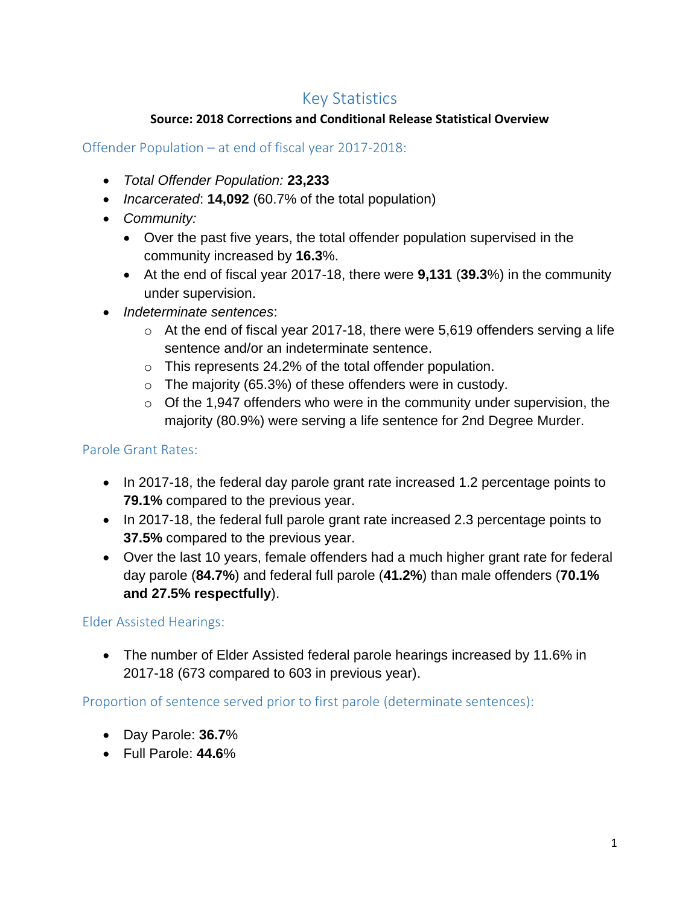# Key Statistics

### **Source: 2018 Corrections and Conditional Release Statistical Overview**

## Offender Population – at end of fiscal year 2017-2018:

- *Total Offender Population:* **23,233**
- *Incarcerated*: **14,092** (60.7% of the total population)
- *Community:* 
	- Over the past five years, the total offender population supervised in the community increased by **16.3**%.
	- At the end of fiscal year 2017-18, there were **9,131** (**39.3**%) in the community under supervision.
- *Indeterminate sentences*:
	- $\circ$  At the end of fiscal year 2017-18, there were 5,619 offenders serving a life sentence and/or an indeterminate sentence.
	- $\circ$  This represents 24.2% of the total offender population.
	- o The majority (65.3%) of these offenders were in custody.
	- $\circ$  Of the 1,947 offenders who were in the community under supervision, the majority (80.9%) were serving a life sentence for 2nd Degree Murder.

## Parole Grant Rates:

- In 2017-18, the federal day parole grant rate increased 1.2 percentage points to **79.1%** compared to the previous year.
- In 2017-18, the federal full parole grant rate increased 2.3 percentage points to **37.5%** compared to the previous year.
- Over the last 10 years, female offenders had a much higher grant rate for federal day parole (**84.7%**) and federal full parole (**41.2%**) than male offenders (**70.1% and 27.5% respectfully**).

Elder Assisted Hearings:

• The number of Elder Assisted federal parole hearings increased by 11.6% in 2017-18 (673 compared to 603 in previous year).

Proportion of sentence served prior to first parole (determinate sentences):

- Day Parole: **36.7**%
- Full Parole: **44.6**%